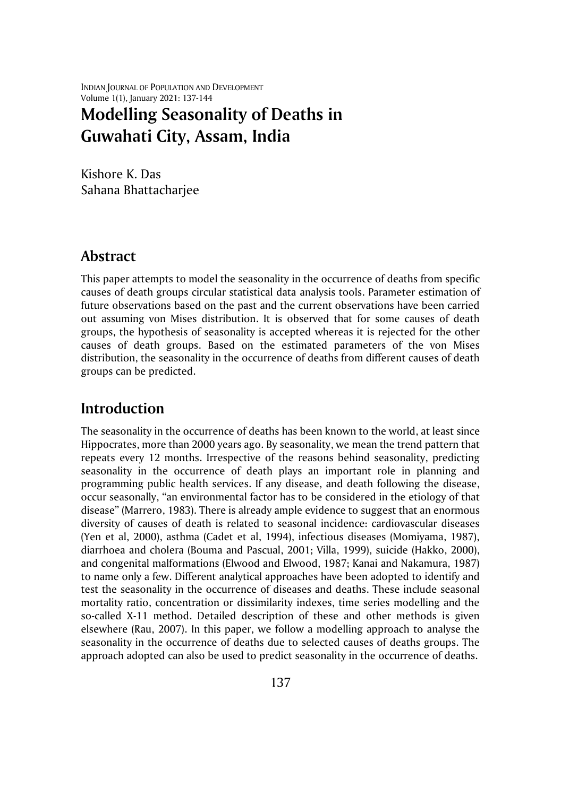INDIAN JOURNAL OF POPULATION AND DEVELOPMENT Volume 1(1), January 2021: 137-144

# **Modelling Seasonality of Deaths in Guwahati City, Assam, India**

Kishore K. Das Sahana Bhattacharjee

#### **Abstract**

This paper attempts to model the seasonality in the occurrence of deaths from specific causes of death groups circular statistical data analysis tools. Parameter estimation of future observations based on the past and the current observations have been carried out assuming von Mises distribution. It is observed that for some causes of death groups, the hypothesis of seasonality is accepted whereas it is rejected for the other causes of death groups. Based on the estimated parameters of the von Mises distribution, the seasonality in the occurrence of deaths from different causes of death groups can be predicted.

### **Introduction**

The seasonality in the occurrence of deaths has been known to the world, at least since Hippocrates, more than 2000 years ago. By seasonality, we mean the trend pattern that repeats every 12 months. Irrespective of the reasons behind seasonality, predicting seasonality in the occurrence of death plays an important role in planning and programming public health services. If any disease, and death following the disease, occur seasonally, "an environmental factor has to be considered in the etiology of that disease" (Marrero, 1983). There is already ample evidence to suggest that an enormous diversity of causes of death is related to seasonal incidence: cardiovascular diseases (Yen et al, 2000), asthma (Cadet et al, 1994), infectious diseases (Momiyama, 1987), diarrhoea and cholera (Bouma and Pascual, 2001; Villa, 1999), suicide (Hakko, 2000), and congenital malformations (Elwood and Elwood, 1987; Kanai and Nakamura, 1987) to name only a few. Different analytical approaches have been adopted to identify and test the seasonality in the occurrence of diseases and deaths. These include seasonal mortality ratio, concentration or dissimilarity indexes, time series modelling and the so-called X-11 method. Detailed description of these and other methods is given elsewhere (Rau, 2007). In this paper, we follow a modelling approach to analyse the seasonality in the occurrence of deaths due to selected causes of deaths groups. The approach adopted can also be used to predict seasonality in the occurrence of deaths.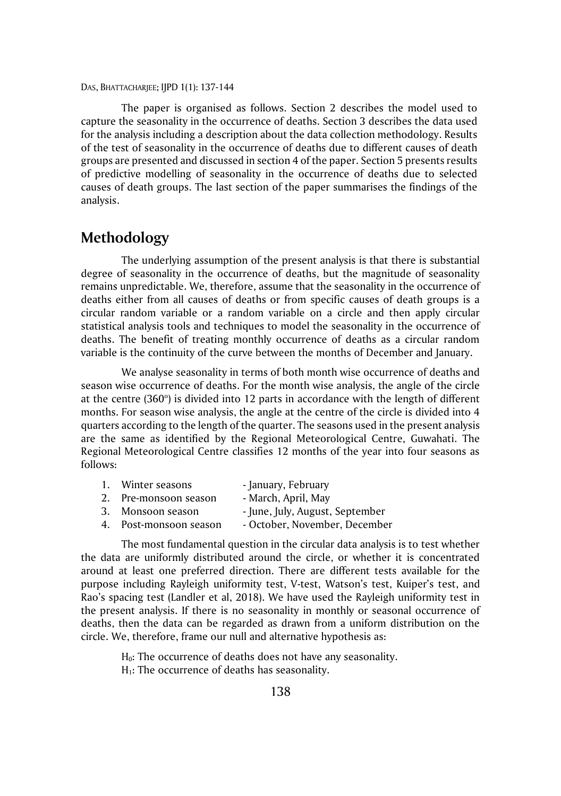The paper is organised as follows. Section 2 describes the model used to capture the seasonality in the occurrence of deaths. Section 3 describes the data used for the analysis including a description about the data collection methodology. Results of the test of seasonality in the occurrence of deaths due to different causes of death groups are presented and discussed in section 4 of the paper. Section 5 presents results of predictive modelling of seasonality in the occurrence of deaths due to selected causes of death groups. The last section of the paper summarises the findings of the analysis.

### **Methodology**

The underlying assumption of the present analysis is that there is substantial degree of seasonality in the occurrence of deaths, but the magnitude of seasonality remains unpredictable. We, therefore, assume that the seasonality in the occurrence of deaths either from all causes of deaths or from specific causes of death groups is a circular random variable or a random variable on a circle and then apply circular statistical analysis tools and techniques to model the seasonality in the occurrence of deaths. The benefit of treating monthly occurrence of deaths as a circular random variable is the continuity of the curve between the months of December and January.

We analyse seasonality in terms of both month wise occurrence of deaths and season wise occurrence of deaths. For the month wise analysis, the angle of the circle at the centre (360 $^{\circ}$ ) is divided into 12 parts in accordance with the length of different months. For season wise analysis, the angle at the centre of the circle is divided into 4 quarters according to the length of the quarter. The seasons used in the present analysis are the same as identified by the Regional Meteorological Centre, Guwahati. The Regional Meteorological Centre classifies 12 months of the year into four seasons as follows:

|  |  | Winter seasons | - January, February |
|--|--|----------------|---------------------|
|--|--|----------------|---------------------|

- 2. Pre-monsoon season March, April, May
- 3. Monsoon season June, July, August, September
- 4. Post-monsoon season October, November, December

The most fundamental question in the circular data analysis is to test whether the data are uniformly distributed around the circle, or whether it is concentrated around at least one preferred direction. There are different tests available for the purpose including Rayleigh uniformity test, V-test, Watson's test, Kuiper's test, and Rao's spacing test (Landler et al, 2018). We have used the Rayleigh uniformity test in the present analysis. If there is no seasonality in monthly or seasonal occurrence of deaths, then the data can be regarded as drawn from a uniform distribution on the circle. We, therefore, frame our null and alternative hypothesis as:

> H0: The occurrence of deaths does not have any seasonality.  $H<sub>1</sub>$ : The occurrence of deaths has seasonality.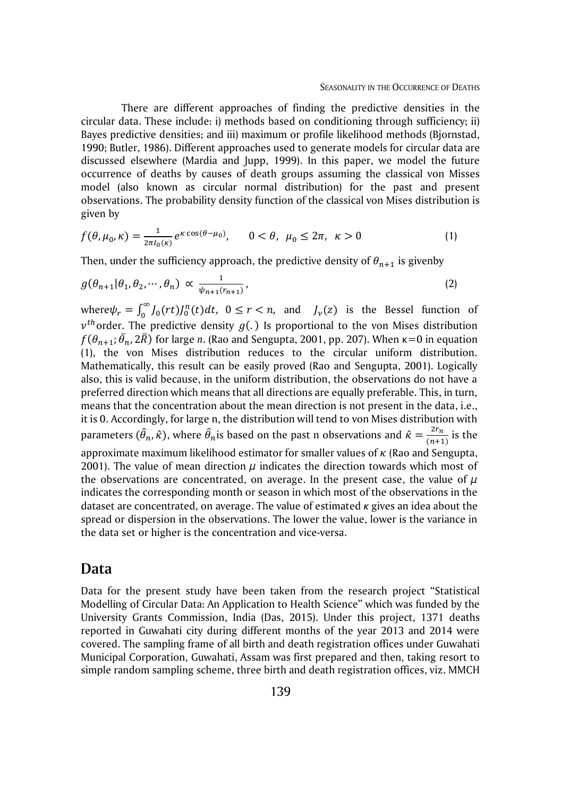There are different approaches of finding the predictive densities in the circular data. These include: i) methods based on conditioning through sufficiency; ii) Bayes predictive densities; and iii) maximum or profile likelihood methods (Bjornstad, 1990; Butler, 1986). Different approaches used to generate models for circular data are discussed elsewhere (Mardia and Jupp, 1999). In this paper, we model the future occurrence of deaths by causes of death groups assuming the classical von Misses model (also known as circular normal distribution) for the past and present observations. The probability density function of the classical von Mises distribution is given by

$$
f(\theta, \mu_0, \kappa) = \frac{1}{2\pi I_0(\kappa)} e^{\kappa \cos(\theta - \mu_0)}, \qquad 0 < \theta, \ \mu_0 \leq 2\pi, \ \kappa > 0 \tag{1}
$$

Then, under the sufficiency approach, the predictive density of  $\theta_{n+1}$  is givenby

$$
g(\theta_{n+1}|\theta_1, \theta_2, \cdots, \theta_n) \propto \frac{1}{\psi_{n+1}(r_{n+1})},
$$
\n(2)

where  $\psi_r = \int_0^\infty J_0(rt) J_0^n(t) dt$ ,  $0 \le r < n$ ,  $\int_0^\infty J_0(rt) J_0^n(t) dt$ ,  $0 \le r < n$ , and  $J_\nu(z)$  is the Bessel function of  $v^{th}$ order. The predictive density  $g(.)$  Is proportional to the von Mises distribution  $f(\theta_{n+1}; \bar{\theta}_n, 2\bar{R})$  for large  $n$ . (Rao and Sengupta, 2001, pp. 207). When  $\kappa{=}0$  in equation (1), the von Mises distribution reduces to the circular uniform distribution. Mathematically, this result can be easily proved (Rao and Sengupta, 2001). Logically also, this is valid because, in the uniform distribution, the observations do not have a preferred direction which means that all directions are equally preferable. This, in turn, means that the concentration about the mean direction is not present in the data, i.e., it is 0. Accordingly, for large n, the distribution will tend to von Mises distribution with parameters  $(\widehat{\theta}_n, \hat{\kappa})$ , where  $\widehat{\theta}_n$ is based on the past n observations and  $\hat{\kappa} = \frac{2r_n}{(n+1)^2}$  $\frac{2n}{(n+1)}$  is the approximate maximum likelihood estimator for smaller values of  $\kappa$  (Rao and Sengupta, 2001). The value of mean direction  $\mu$  indicates the direction towards which most of the observations are concentrated, on average. In the present case, the value of  $\mu$ indicates the corresponding month or season in which most of the observations in the dataset are concentrated, on average. The value of estimated *κ* gives an idea about the spread or dispersion in the observations. The lower the value, lower is the variance in the data set or higher is the concentration and vice-versa.

#### **Data**

Data for the present study have been taken from the research project "Statistical Modelling of Circular Data: An Application to Health Science" which was funded by the University Grants Commission, India (Das, 2015). Under this project, 1371 deaths reported in Guwahati city during different months of the year 2013 and 2014 were covered. The sampling frame of all birth and death registration offices under Guwahati Municipal Corporation, Guwahati, Assam was first prepared and then, taking resort to simple random sampling scheme, three birth and death registration offices, viz. MMCH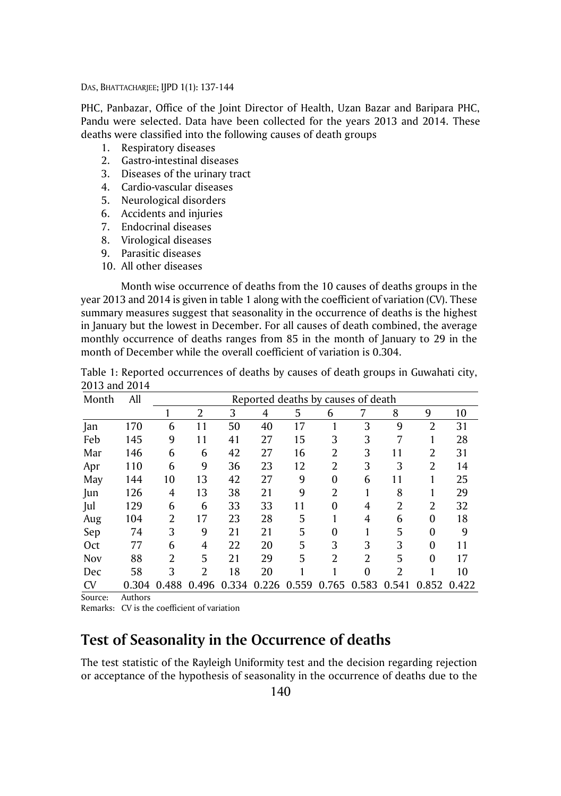PHC, Panbazar, Office of the Joint Director of Health, Uzan Bazar and Baripara PHC, Pandu were selected. Data have been collected for the years 2013 and 2014. These deaths were classified into the following causes of death groups

- 1. Respiratory diseases
- 2. Gastro-intestinal diseases
- 3. Diseases of the urinary tract
- 4. Cardio-vascular diseases
- 5. Neurological disorders
- 6. Accidents and injuries
- 7. Endocrinal diseases
- 8. Virological diseases
- 9. Parasitic diseases
- 10. All other diseases

Month wise occurrence of deaths from the 10 causes of deaths groups in the year 2013 and 2014 is given in table 1 along with the coefficient of variation (CV). These summary measures suggest that seasonality in the occurrence of deaths is the highest in January but the lowest in December. For all causes of death combined, the average monthly occurrence of deaths ranges from 85 in the month of January to 29 in the month of December while the overall coefficient of variation is 0.304.

|               |     | Table 1: Reported occurrences of deaths by causes of death groups in Guwahati city, |
|---------------|-----|-------------------------------------------------------------------------------------|
| 2013 and 2014 |     |                                                                                     |
| Month         | All | Reported deaths by causes of death                                                  |

| Month      | All      |       |                |       |    |             | Reported deaths by causes of death |              |                |                |             |
|------------|----------|-------|----------------|-------|----|-------------|------------------------------------|--------------|----------------|----------------|-------------|
|            |          |       | 2              | 3     | 4  | 5           | 6                                  | 7            | 8              | 9              | 10          |
| Jan        | 170      | 6     | 11             | 50    | 40 | 17          |                                    | 3            | 9              | $\overline{2}$ | 31          |
| Feb        | 145      | 9     | 11             | 41    | 27 | 15          | 3                                  | 3            | 7              |                | 28          |
| Mar        | 146      | 6     | 6              | 42    | 27 | 16          | $\overline{2}$                     | 3            | 11             | 2              | 31          |
| Apr        | 110      | 6     | 9              | 36    | 23 | 12          | $\overline{2}$                     | 3            | 3              | 2              | 14          |
| May        | 144      | 10    | 13             | 42    | 27 | 9           | 0                                  | 6            | 11             |                | 25          |
| Jun        | 126      | 4     | 13             | 38    | 21 | 9           | 2                                  |              | 8              |                | 29          |
| Jul        | 129      | 6     | 6              | 33    | 33 | 11          | $\mathbf{0}$                       | 4            | $\overline{2}$ | 2              | 32          |
| Aug        | 104      | 2     | 17             | 23    | 28 | 5           |                                    | 4            | 6              | $\mathbf{0}$   | 18          |
| Sep        | 74       | 3     | 9              | 21    | 21 | 5           | $\Omega$                           |              | 5              | 0              | 9           |
| Oct        | 77       | 6     | 4              | 22    | 20 | 5           | 3                                  | 3            | 3              | $\mathbf{0}$   | 11          |
| <b>Nov</b> | 88       | 2     | 5              | 21    | 29 | 5           | $\overline{2}$                     | 2            | 5              | 0              | 17          |
| Dec        | 58       | 3     | $\overline{2}$ | 18    | 20 |             |                                    | $\mathbf{0}$ | 2              |                | 10          |
| <b>CV</b>  | 0.304    | 0.488 | 0.496          | 0.334 |    | 0.226 0.559 | 0.765 0.583                        |              | 0.541          |                | 0.852 0.422 |
|            | $\cdots$ |       |                |       |    |             |                                    |              |                |                |             |

Source: Authors

Remarks: CV is the coefficient of variation

### **Test of Seasonality in the Occurrence of deaths**

The test statistic of the Rayleigh Uniformity test and the decision regarding rejection or acceptance of the hypothesis of seasonality in the occurrence of deaths due to the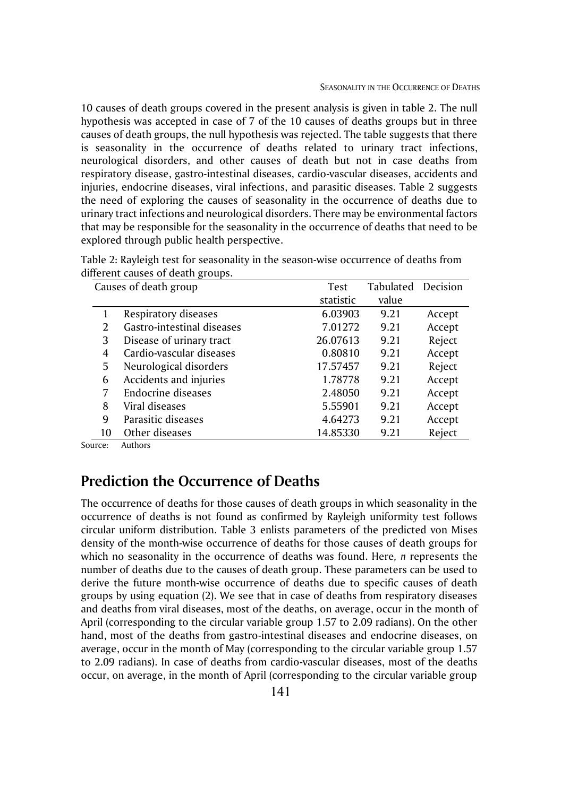10 causes of death groups covered in the present analysis is given in table 2. The null hypothesis was accepted in case of 7 of the 10 causes of deaths groups but in three causes of death groups, the null hypothesis was rejected. The table suggests that there is seasonality in the occurrence of deaths related to urinary tract infections, neurological disorders, and other causes of death but not in case deaths from respiratory disease, gastro-intestinal diseases, cardio-vascular diseases, accidents and injuries, endocrine diseases, viral infections, and parasitic diseases. Table 2 suggests the need of exploring the causes of seasonality in the occurrence of deaths due to urinary tract infections and neurological disorders. There may be environmental factors that may be responsible for the seasonality in the occurrence of deaths that need to be explored through public health perspective.

|               | Causes of death group      | Test      | Tabulated | Decision |
|---------------|----------------------------|-----------|-----------|----------|
|               |                            | statistic | value     |          |
|               | Respiratory diseases       | 6.03903   | 9.21      | Accept   |
| $\mathcal{L}$ | Gastro-intestinal diseases | 7.01272   | 9.21      | Accept   |
| 3             | Disease of urinary tract   | 26.07613  | 9.21      | Reject   |
| 4             | Cardio-vascular diseases   | 0.80810   | 9.21      | Accept   |
| 5             | Neurological disorders     | 17.57457  | 9.21      | Reject   |
| 6             | Accidents and injuries     | 1.78778   | 9.21      | Accept   |
| 7             | Endocrine diseases         | 2.48050   | 9.21      | Accept   |
| 8             | Viral diseases             | 5.55901   | 9.21      | Accept   |
| 9             | Parasitic diseases         | 4.64273   | 9.21      | Accept   |
| 10            | Other diseases             | 14.85330  | 9.21      | Reject   |

| Table 2: Rayleigh test for seasonality in the season-wise occurrence of deaths from |  |
|-------------------------------------------------------------------------------------|--|
| different causes of death groups.                                                   |  |

Source: Authors

## **Prediction the Occurrence of Deaths**

The occurrence of deaths for those causes of death groups in which seasonality in the occurrence of deaths is not found as confirmed by Rayleigh uniformity test follows circular uniform distribution. Table 3 enlists parameters of the predicted von Mises density of the month-wise occurrence of deaths for those causes of death groups for which no seasonality in the occurrence of deaths was found. Here*, n* represents the number of deaths due to the causes of death group. These parameters can be used to derive the future month-wise occurrence of deaths due to specific causes of death groups by using equation (2). We see that in case of deaths from respiratory diseases and deaths from viral diseases, most of the deaths, on average, occur in the month of April (corresponding to the circular variable group 1.57 to 2.09 radians). On the other hand, most of the deaths from gastro-intestinal diseases and endocrine diseases, on average, occur in the month of May (corresponding to the circular variable group 1.57 to 2.09 radians). In case of deaths from cardio-vascular diseases, most of the deaths occur, on average, in the month of April (corresponding to the circular variable group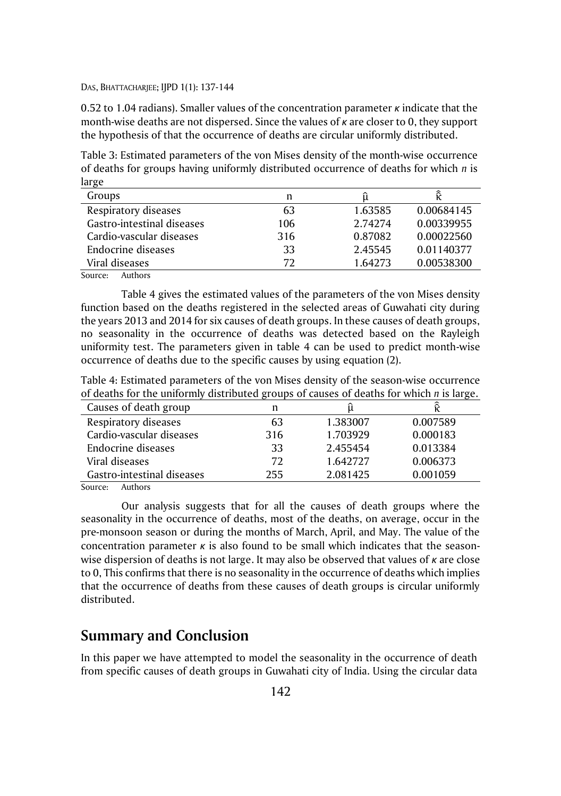0.52 to 1.04 radians). Smaller values of the concentration parameter *κ* indicate that the month-wise deaths are not dispersed. Since the values of *κ* are closer to 0, they support the hypothesis of that the occurrence of deaths are circular uniformly distributed.

Table 3: Estimated parameters of the von Mises density of the month-wise occurrence of deaths for groups having uniformly distributed occurrence of deaths for which *n* is large

| Groups                                    | n   |         |            |
|-------------------------------------------|-----|---------|------------|
| Respiratory diseases                      | 63  | 1.63585 | 0.00684145 |
| Gastro-intestinal diseases                | 106 | 2.74274 | 0.00339955 |
| Cardio-vascular diseases                  | 316 | 0.87082 | 0.00022560 |
| Endocrine diseases                        | 33  | 2.45545 | 0.01140377 |
| Viral diseases                            | 72  | 1.64273 | 0.00538300 |
| $\sim$ $\sim$ $\sim$ $\sim$ $\sim$ $\sim$ |     |         |            |

Source: Authors

Table 4 gives the estimated values of the parameters of the von Mises density function based on the deaths registered in the selected areas of Guwahati city during the years 2013 and 2014 for six causes of death groups. In these causes of death groups, no seasonality in the occurrence of deaths was detected based on the Rayleigh uniformity test. The parameters given in table 4 can be used to predict month-wise occurrence of deaths due to the specific causes by using equation (2).

Table 4: Estimated parameters of the von Mises density of the season-wise occurrence of deaths for the uniformly distributed groups of causes of deaths for which *n* is large.

| Causes of death group      | n   |          |          |
|----------------------------|-----|----------|----------|
| Respiratory diseases       | 63  | 1.383007 | 0.007589 |
| Cardio-vascular diseases   | 316 | 1.703929 | 0.000183 |
| Endocrine diseases         | 33  | 2.455454 | 0.013384 |
| Viral diseases             | 72  | 1.642727 | 0.006373 |
| Gastro-intestinal diseases | 255 | 2.081425 | 0.001059 |

Source: Authors

Our analysis suggests that for all the causes of death groups where the seasonality in the occurrence of deaths, most of the deaths, on average, occur in the pre-monsoon season or during the months of March, April, and May. The value of the concentration parameter *κ* is also found to be small which indicates that the seasonwise dispersion of deaths is not large. It may also be observed that values of *κ* are close to 0, This confirms that there is no seasonality in the occurrence of deaths which implies that the occurrence of deaths from these causes of death groups is circular uniformly distributed.

# **Summary and Conclusion**

In this paper we have attempted to model the seasonality in the occurrence of death from specific causes of death groups in Guwahati city of India. Using the circular data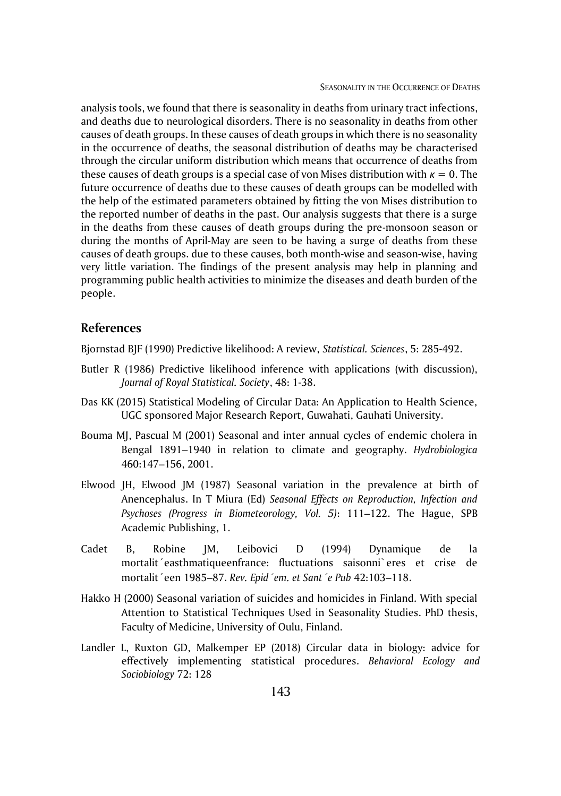analysis tools, we found that there is seasonality in deaths from urinary tract infections, and deaths due to neurological disorders. There is no seasonality in deaths from other causes of death groups. In these causes of death groups in which there is no seasonality in the occurrence of deaths, the seasonal distribution of deaths may be characterised through the circular uniform distribution which means that occurrence of deaths from these causes of death groups is a special case of von Mises distribution with *κ* = 0. The future occurrence of deaths due to these causes of death groups can be modelled with the help of the estimated parameters obtained by fitting the von Mises distribution to the reported number of deaths in the past. Our analysis suggests that there is a surge in the deaths from these causes of death groups during the pre-monsoon season or during the months of April-May are seen to be having a surge of deaths from these causes of death groups. due to these causes, both month-wise and season-wise, having very little variation. The findings of the present analysis may help in planning and programming public health activities to minimize the diseases and death burden of the people.

#### **References**

Bjornstad BJF (1990) Predictive likelihood: A review, *Statistical. Sciences*, 5: 285-492.

- Butler R (1986) Predictive likelihood inference with applications (with discussion), *Journal of Royal Statistical. Society*, 48: 1-38.
- Das KK (2015) Statistical Modeling of Circular Data: An Application to Health Science, UGC sponsored Major Research Report, Guwahati, Gauhati University.
- Bouma MJ, Pascual M (2001) Seasonal and inter annual cycles of endemic cholera in Bengal 1891–1940 in relation to climate and geography. *Hydrobiologica* 460:147–156, 2001.
- Elwood JH, Elwood JM (1987) Seasonal variation in the prevalence at birth of Anencephalus. In T Miura (Ed) *Seasonal Effects on Reproduction, Infection and Psychoses (Progress in Biometeorology, Vol. 5)*: 111–122. The Hague, SPB Academic Publishing, 1.
- Cadet B, Robine JM, Leibovici D (1994) Dynamique de la mortalit´easthmatiqueenfrance: fluctuations saisonni`eres et crise de mortalit´een 1985–87. *Rev. Epid´em. et Sant´e Pub* 42:103–118.
- Hakko H (2000) Seasonal variation of suicides and homicides in Finland. With special Attention to Statistical Techniques Used in Seasonality Studies. PhD thesis, Faculty of Medicine, University of Oulu, Finland.
- Landler L, Ruxton GD, Malkemper EP (2018) Circular data in biology: advice for effectively implementing statistical procedures. *Behavioral Ecology and Sociobiology* 72: 128